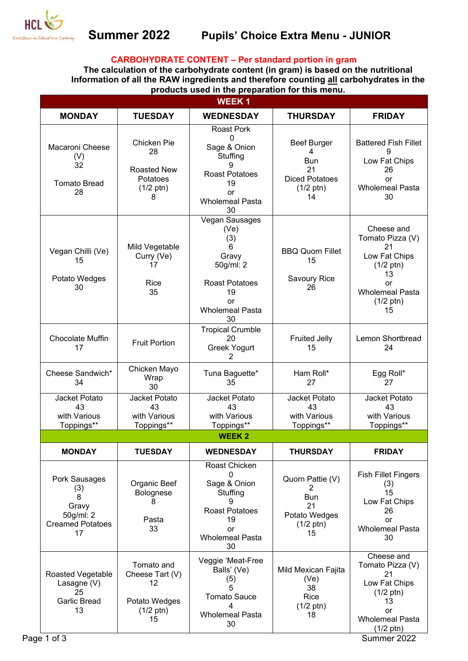

# **Summer 2022 Pupils' Choice Extra Menu - JUNIOR**

## **CARBOHYDRATE CONTENT – Per standard portion in gram**

**The calculation of the carbohydrate content (in gram) is based on the nutritional Information of all the RAW ingredients and therefore counting all carbohydrates in the products used in the preparation for this menu.** 

|                                                                                  |                                                                                   | <b>WEEK1</b>                                                                                                                        |                                                                                            |                                                                                                                                                 |
|----------------------------------------------------------------------------------|-----------------------------------------------------------------------------------|-------------------------------------------------------------------------------------------------------------------------------------|--------------------------------------------------------------------------------------------|-------------------------------------------------------------------------------------------------------------------------------------------------|
| <b>MONDAY</b>                                                                    | <b>TUESDAY</b>                                                                    | <b>WEDNESDAY</b>                                                                                                                    | <b>THURSDAY</b>                                                                            | <b>FRIDAY</b>                                                                                                                                   |
| Macaroni Cheese<br>(V)<br>32<br><b>Tomato Bread</b><br>28                        | Chicken Pie<br>28<br><b>Roasted New</b><br>Potatoes<br>$(1/2 \text{ ptn})$<br>8   | <b>Roast Pork</b><br>$\mathbf 0$<br>Sage & Onion<br>Stuffing<br>9<br><b>Roast Potatoes</b><br>19<br>or<br><b>Wholemeal Pasta</b>    | <b>Beef Burger</b><br>4<br>Bun<br>21<br><b>Diced Potatoes</b><br>$(1/2 \text{ ptn})$<br>14 | <b>Battered Fish Fillet</b><br>Low Fat Chips<br>26<br>or<br><b>Wholemeal Pasta</b><br>30                                                        |
| Vegan Chilli (Ve)<br>15<br>Potato Wedges<br>30                                   | Mild Vegetable<br>Curry (Ve)<br>17<br>Rice<br>35                                  | 30<br>Vegan Sausages<br>(Ve)<br>(3)<br>6<br>Gravy<br>50g/ml: 2<br><b>Roast Potatoes</b><br>19<br>or<br><b>Wholemeal Pasta</b><br>30 | <b>BBQ Quorn Fillet</b><br>15<br>Savoury Rice<br>26                                        | Cheese and<br>Tomato Pizza (V)<br>21<br>Low Fat Chips<br>$(1/2 \text{ ptn})$<br>13<br>or<br><b>Wholemeal Pasta</b><br>$(1/2 \text{ ptn})$<br>15 |
| Chocolate Muffin<br>17                                                           | <b>Fruit Portion</b>                                                              | <b>Tropical Crumble</b><br>20<br><b>Greek Yogurt</b><br>2                                                                           | <b>Fruited Jelly</b><br>15                                                                 | Lemon Shortbread<br>24                                                                                                                          |
| Cheese Sandwich*<br>34                                                           | Chicken Mayo<br>Wrap<br>30                                                        | Tuna Baguette*<br>35                                                                                                                | Ham Roll*<br>27                                                                            | Egg Roll*<br>27                                                                                                                                 |
| Jacket Potato<br>43<br>with Various<br>Toppings**                                | Jacket Potato<br>43<br>with Various<br>Toppings**                                 | Jacket Potato<br>43<br>with Various<br>Toppings**                                                                                   | Jacket Potato<br>43<br>with Various<br>Toppings**                                          | Jacket Potato<br>43<br>with Various<br>Toppings**                                                                                               |
|                                                                                  |                                                                                   | <b>WEEK2</b>                                                                                                                        |                                                                                            |                                                                                                                                                 |
| <b>MONDAY</b>                                                                    | <b>TUESDAY</b>                                                                    | <b>WEDNESDAY</b>                                                                                                                    | <b>THURSDAY</b>                                                                            | <b>FRIDAY</b>                                                                                                                                   |
| Pork Sausages<br>(3)<br>8<br>Gravy<br>50g/ml: 2<br><b>Creamed Potatoes</b><br>17 | Organic Beef<br>Bolognese<br>8<br>Pasta<br>33                                     | Roast Chicken<br>$\Omega$<br>Sage & Onion<br>Stuffing<br>9<br><b>Roast Potatoes</b><br>19<br>or<br><b>Wholemeal Pasta</b><br>30     | Quorn Pattie (V)<br>2<br><b>Bun</b><br>21<br>Potato Wedges<br>$(1/2 \text{ ptn})$<br>15    | <b>Fish Fillet Fingers</b><br>(3)<br>15<br>Low Fat Chips<br>26<br>or<br><b>Wholemeal Pasta</b><br>30                                            |
| Roasted Vegetable<br>Lasagne (V)<br>25<br><b>Garlic Bread</b><br>13              | Tomato and<br>Cheese Tart (V)<br>12<br>Potato Wedges<br>$(1/2 \text{ ptn})$<br>15 | Veggie 'Meat-Free<br>Balls' (Ve)<br>(5)<br>5<br><b>Tomato Sauce</b><br>4<br><b>Wholemeal Pasta</b><br>30                            | Mild Mexican Fajita<br>(Ve)<br>38<br>Rice<br>$(1/2 \text{ ptn})$<br>18                     | Cheese and<br>Tomato Pizza (V)<br>21<br>Low Fat Chips<br>$(1/2 \text{ ptn})$<br>13<br>or<br><b>Wholemeal Pasta</b><br>$(1/2 \text{ ptn})$       |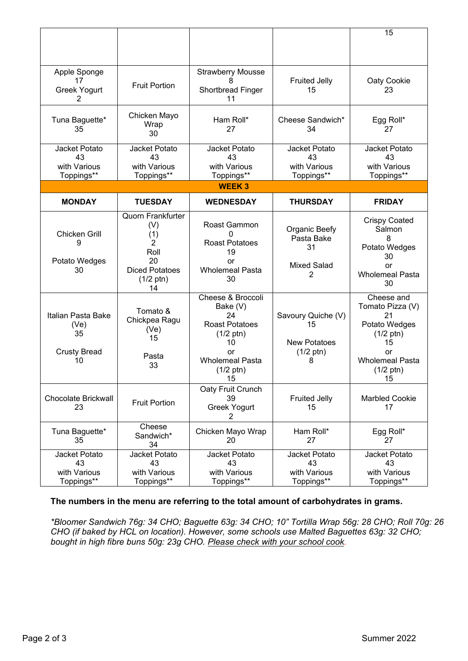|                                                               |                                                                                                                 |                                                                                                                                                        |                                                                             | 15                                                                                                                                              |  |  |  |
|---------------------------------------------------------------|-----------------------------------------------------------------------------------------------------------------|--------------------------------------------------------------------------------------------------------------------------------------------------------|-----------------------------------------------------------------------------|-------------------------------------------------------------------------------------------------------------------------------------------------|--|--|--|
| Apple Sponge<br>17<br><b>Greek Yogurt</b><br>2                | <b>Fruit Portion</b>                                                                                            | <b>Strawberry Mousse</b><br>Shortbread Finger<br>11                                                                                                    | <b>Fruited Jelly</b><br>15                                                  | Oaty Cookie<br>23                                                                                                                               |  |  |  |
| Tuna Baguette*<br>35                                          | Chicken Mayo<br>Wrap<br>30                                                                                      | Ham Roll*<br>27                                                                                                                                        | Cheese Sandwich*<br>34                                                      | Egg Roll*<br>27                                                                                                                                 |  |  |  |
| Jacket Potato<br>43<br>with Various<br>Toppings**             | Jacket Potato<br>43<br>with Various<br>Toppings**                                                               | Jacket Potato<br>43<br>with Various<br>Toppings**                                                                                                      | Jacket Potato<br>43<br>with Various<br>Toppings**                           | Jacket Potato<br>43<br>with Various<br>Toppings**                                                                                               |  |  |  |
| <b>WEEK3</b>                                                  |                                                                                                                 |                                                                                                                                                        |                                                                             |                                                                                                                                                 |  |  |  |
| <b>MONDAY</b>                                                 | <b>TUESDAY</b>                                                                                                  | <b>WEDNESDAY</b>                                                                                                                                       | <b>THURSDAY</b>                                                             | <b>FRIDAY</b>                                                                                                                                   |  |  |  |
| <b>Chicken Grill</b><br>9<br>Potato Wedges<br>30              | <b>Quorn Frankfurter</b><br>(V)<br>(1)<br>2<br>Roll<br>20<br><b>Diced Potatoes</b><br>$(1/2 \text{ ptn})$<br>14 | Roast Gammon<br><b>Roast Potatoes</b><br>19<br>or<br><b>Wholemeal Pasta</b><br>30                                                                      | Organic Beefy<br>Pasta Bake<br>31<br><b>Mixed Salad</b><br>2                | <b>Crispy Coated</b><br>Salmon<br>8<br>Potato Wedges<br>30<br>or<br><b>Wholemeal Pasta</b><br>30                                                |  |  |  |
| Italian Pasta Bake<br>(Ve)<br>35<br><b>Crusty Bread</b><br>10 | Tomato &<br>Chickpea Ragu<br>(Ve)<br>15<br>Pasta<br>33                                                          | Cheese & Broccoli<br>Bake (V)<br>24<br><b>Roast Potatoes</b><br>$(1/2 \text{ ptn})$<br>10<br>or<br><b>Wholemeal Pasta</b><br>$(1/2 \text{ ptn})$<br>15 | Savoury Quiche (V)<br>15<br><b>New Potatoes</b><br>$(1/2 \text{ ptn})$<br>8 | Cheese and<br>Tomato Pizza (V)<br>21<br>Potato Wedges<br>$(1/2 \text{ ptn})$<br>15<br>or<br><b>Wholemeal Pasta</b><br>$(1/2 \text{ ptn})$<br>15 |  |  |  |
| <b>Chocolate Brickwall</b><br>23                              | <b>Fruit Portion</b>                                                                                            | Oaty Fruit Crunch<br>39<br><b>Greek Yogurt</b><br>2                                                                                                    | <b>Fruited Jelly</b><br>15                                                  | <b>Marbled Cookie</b><br>17                                                                                                                     |  |  |  |
| Tuna Baguette*<br>35                                          | Cheese<br>Sandwich*<br>34                                                                                       | Chicken Mayo Wrap<br>20                                                                                                                                | Ham Roll*<br>27                                                             | Egg Roll*<br>27                                                                                                                                 |  |  |  |
| Jacket Potato<br>43<br>with Various<br>Toppings**             | Jacket Potato<br>43<br>with Various<br>Toppings**                                                               | Jacket Potato<br>43<br>with Various<br>Toppings**                                                                                                      | Jacket Potato<br>43<br>with Various<br>Toppings**                           | Jacket Potato<br>43<br>with Various<br>Toppings**                                                                                               |  |  |  |

# **The numbers in the menu are referring to the total amount of carbohydrates in grams.**

*\*Bloomer Sandwich 76g: 34 CHO; Baguette 63g: 34 CHO; 10" Tortilla Wrap 56g: 28 CHO; Roll 70g: 26 CHO (if baked by HCL on location). However, some schools use Malted Baguettes 63g: 32 CHO; bought in high fibre buns 50g: 23g CHO. Please check with your school cook.*